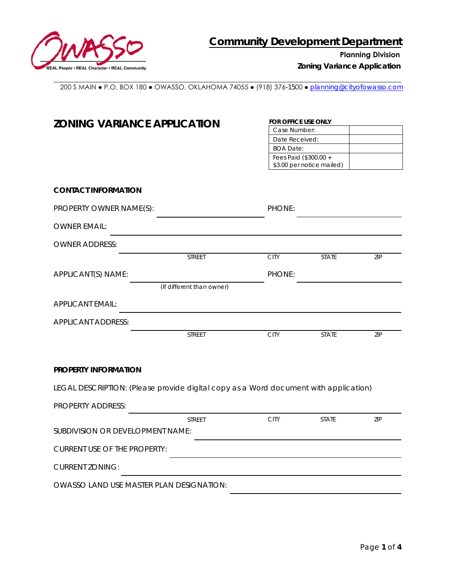

**Planning Division**

*Zoning Variance Application* 

200 S MAIN ● P.O. BOX 180 ● OWASSO, OKLAHOMA 74055 ● (918) 376-1500 ● [planning@cityofowasso.com](mailto:planning@cityofowasso.com)

| <b>ZONING VARIANCE APPLICATION</b>                                                   |                           |               | FOR OFFICE USE ONLY                                |            |  |  |
|--------------------------------------------------------------------------------------|---------------------------|---------------|----------------------------------------------------|------------|--|--|
|                                                                                      |                           | Case Number:  |                                                    |            |  |  |
|                                                                                      |                           |               | Date Received:<br><b>BOA Date:</b>                 |            |  |  |
|                                                                                      |                           |               |                                                    |            |  |  |
|                                                                                      |                           |               | Fees Paid (\$300.00 +<br>\$3.00 per notice mailed) |            |  |  |
|                                                                                      |                           |               |                                                    |            |  |  |
| <b>CONTACT INFORMATION</b>                                                           |                           |               |                                                    |            |  |  |
| PROPERTY OWNER NAME(S):                                                              |                           | <b>PHONE:</b> |                                                    |            |  |  |
| <b>OWNER EMAIL:</b>                                                                  |                           |               |                                                    |            |  |  |
| <b>OWNER ADDRESS:</b>                                                                |                           |               |                                                    |            |  |  |
|                                                                                      | <b>STREET</b>             | <b>CITY</b>   | <b>STATE</b>                                       | <b>ZIP</b> |  |  |
| APPLICANT(S) NAME:                                                                   |                           | PHONE:        |                                                    |            |  |  |
|                                                                                      | (If different than owner) |               |                                                    |            |  |  |
| <b>APPLICANT EMAIL:</b>                                                              |                           |               |                                                    |            |  |  |
| <b>APPLICANT ADDRESS:</b>                                                            |                           |               |                                                    |            |  |  |
|                                                                                      | <b>STREET</b>             | <b>CITY</b>   | <b>STATE</b>                                       | ZIP        |  |  |
| PROPERTY INFORMATION                                                                 |                           |               |                                                    |            |  |  |
| LEGAL DESCRIPTION: (Please provide digital copy as a Word document with application) |                           |               |                                                    |            |  |  |
| PROPERTY ADDRESS:                                                                    |                           |               |                                                    |            |  |  |
|                                                                                      | <b>STREET</b>             | <b>CITY</b>   | <b>STATE</b>                                       | 7IP        |  |  |
| SUBDIVISION OR DEVELOPMENT NAME:                                                     |                           |               |                                                    |            |  |  |
| <b>CURRENT USE OF THE PROPERTY:</b>                                                  |                           |               |                                                    |            |  |  |
| <b>CURRENT ZONING:</b>                                                               |                           |               |                                                    |            |  |  |
| OWASSO LAND USE MASTER PLAN DESIGNATION:                                             |                           |               |                                                    |            |  |  |
|                                                                                      |                           |               |                                                    |            |  |  |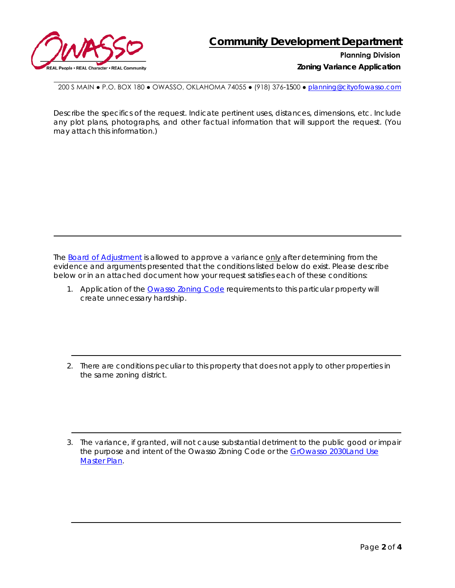

**Planning Division**

*Zoning Variance Application* 

200 S MAIN ● P.O. BOX 180 ● OWASSO, OKLAHOMA 74055 ● (918) 376-1500 ● [planning@cityofowasso.com](mailto:planning@cityofowasso.com)

Describe the specifics of the request. Indicate pertinent uses, distances, dimensions, etc. Include any plot plans, photographs, and other factual information that will support the request. (You may attach this information.)

The Board of [Adjustment](https://www.cityofowasso.com/569/Board-of-Adjustment) is allowed to approve a variance only after determining from the evidence and arguments presented that the conditions listed below do exist. Please describe below or in an attached document how your request satisfies each of these conditions:

1. Application of the [Owasso Zoning Code](https://cityofowasso.com/DocumentCenter/View/2378/Owasso-Zoning-Code?bidId=) requirements to this particular property will create unnecessary hardship.

2. There are conditions peculiar to this property that does not apply to other properties in the same zoning district.

3. The variance, if granted, will not cause substantial detriment to the public good or impair the purpose and intent of the Owasso Zoning Code or the [GrOwasso 2030Land Use](https://www.cityofowasso.com/356/GrOwasso-Land-Use-Plan) [Master Plan.](https://www.cityofowasso.com/356/GrOwasso-Land-Use-Plan)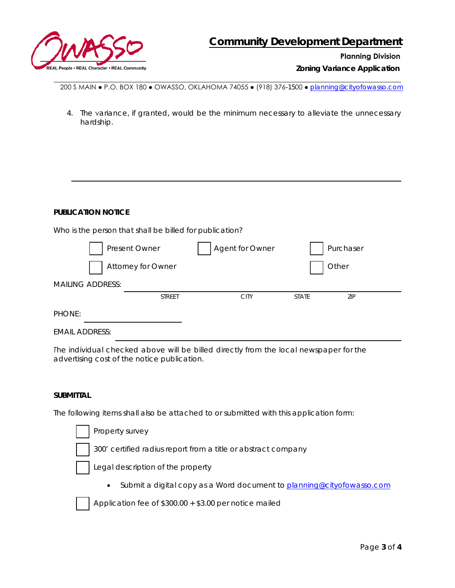

## **Planning Division**

*Zoning Variance Application*

200 S MAIN ● P.O. BOX 180 ● OWASSO, OKLAHOMA 74055 ● (918) 376-1500 ● [planning@cityofowasso.com](mailto:planning@cityofowasso.com)

4. The variance, if granted, would be the minimum necessary to alleviate the unnecessary hardship.

## **PUBLICATION NOTICE**

Who is the person that shall be billed for publication?

|                         | Present Owner      | Agent for Owner |              | Purchaser |
|-------------------------|--------------------|-----------------|--------------|-----------|
|                         | Attorney for Owner |                 |              | Other     |
| <b>MAILING ADDRESS:</b> |                    |                 |              |           |
|                         | <b>STREET</b>      | <b>CITY</b>     | <b>STATE</b> | ZIP       |
| PHONE:                  |                    |                 |              |           |
| <b>EMAIL ADDRESS:</b>   |                    |                 |              |           |

*The individual checked above will be billed directly from the local newspaper for the advertising cost of the notice publication.* 

## **SUBMITTAL**

The following items shall also be attached to or submitted with this application form:

| Property survey                                                                    |
|------------------------------------------------------------------------------------|
| 300' certified radius report from a title or abstract company                      |
| Legal description of the property                                                  |
| Submit a digital copy as a Word document to planning@cityofowasso.com<br>$\bullet$ |
| Application fee of \$300.00 + \$3.00 per notice mailed                             |